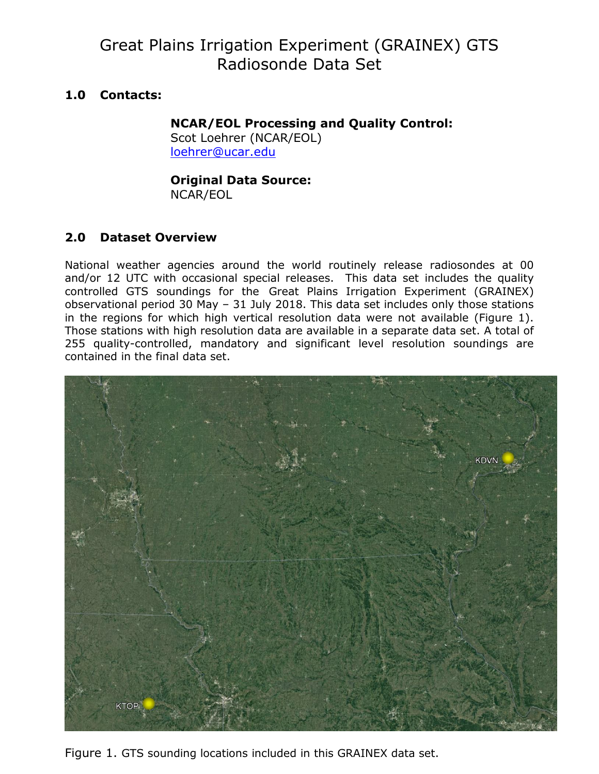# Great Plains Irrigation Experiment (GRAINEX) GTS Radiosonde Data Set

# **1.0 Contacts:**

# **NCAR/EOL Processing and Quality Control:**

Scot Loehrer (NCAR/EOL) [loehrer@ucar.edu](mailto:loehrer@ucar.edu)

# **Original Data Source:**

NCAR/EOL

# **2.0 Dataset Overview**

National weather agencies around the world routinely release radiosondes at 00 and/or 12 UTC with occasional special releases. This data set includes the quality controlled GTS soundings for the Great Plains Irrigation Experiment (GRAINEX) observational period 30 May – 31 July 2018. This data set includes only those stations in the regions for which high vertical resolution data were not available (Figure 1). Those stations with high resolution data are available in a separate data set. A total of 255 quality-controlled, mandatory and significant level resolution soundings are contained in the final data set.



Figure 1. GTS sounding locations included in this GRAINEX data set.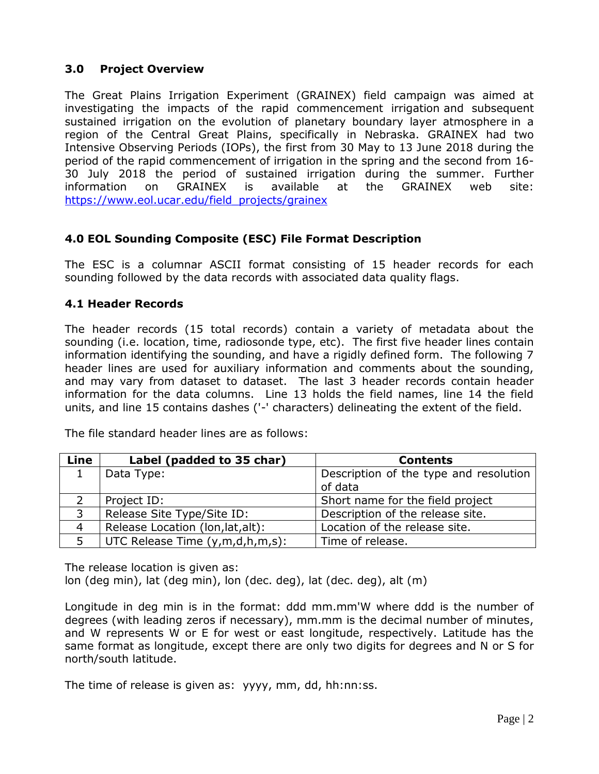# **3.0 Project Overview**

The Great Plains Irrigation Experiment (GRAINEX) field campaign was aimed at investigating the impacts of the rapid commencement irrigation and subsequent sustained irrigation on the evolution of planetary boundary layer atmosphere in a region of the Central Great Plains, specifically in Nebraska. GRAINEX had two Intensive Observing Periods (IOPs), the first from 30 May to 13 June 2018 during the period of the rapid commencement of irrigation in the spring and the second from 16- 30 July 2018 the period of sustained irrigation during the summer. Further information on GRAINEX is available at the GRAINEX web site: [https://www.eol.ucar.edu/field\\_projects/grainex](https://www.eol.ucar.edu/field_projects/grainex)

# **4.0 EOL Sounding Composite (ESC) File Format Description**

The ESC is a columnar ASCII format consisting of 15 header records for each sounding followed by the data records with associated data quality flags.

# **4.1 Header Records**

The header records (15 total records) contain a variety of metadata about the sounding (i.e. location, time, radiosonde type, etc). The first five header lines contain information identifying the sounding, and have a rigidly defined form. The following 7 header lines are used for auxiliary information and comments about the sounding, and may vary from dataset to dataset. The last 3 header records contain header information for the data columns. Line 13 holds the field names, line 14 the field units, and line 15 contains dashes ('-' characters) delineating the extent of the field.

| Line           | Label (padded to 35 char)         | <b>Contents</b>                                   |
|----------------|-----------------------------------|---------------------------------------------------|
|                | Data Type:                        | Description of the type and resolution<br>of data |
|                | Project ID:                       | Short name for the field project                  |
| 3              | Release Site Type/Site ID:        | Description of the release site.                  |
| $\overline{4}$ | Release Location (lon, lat, alt): | Location of the release site.                     |
| 5              | UTC Release Time (y,m,d,h,m,s):   | Time of release.                                  |

The file standard header lines are as follows:

The release location is given as:

lon (deg min), lat (deg min), lon (dec. deg), lat (dec. deg), alt (m)

Longitude in deg min is in the format: ddd mm.mm'W where ddd is the number of degrees (with leading zeros if necessary), mm.mm is the decimal number of minutes, and W represents W or E for west or east longitude, respectively. Latitude has the same format as longitude, except there are only two digits for degrees and N or S for north/south latitude.

The time of release is given as: yyyy, mm, dd, hh:nn:ss.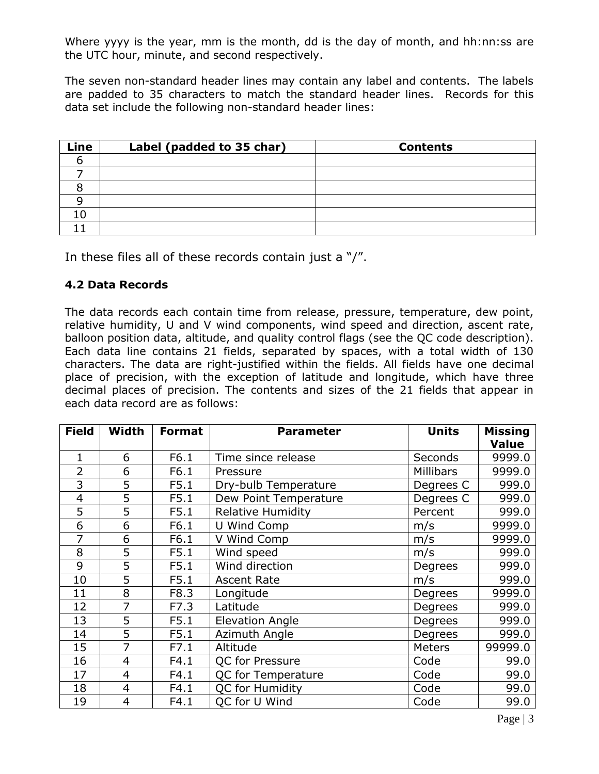Where yyyy is the year, mm is the month, dd is the day of month, and hh:nn:ss are the UTC hour, minute, and second respectively.

The seven non-standard header lines may contain any label and contents. The labels are padded to 35 characters to match the standard header lines. Records for this data set include the following non-standard header lines:

| Line | Label (padded to 35 char) | <b>Contents</b> |
|------|---------------------------|-----------------|
|      |                           |                 |
|      |                           |                 |
|      |                           |                 |
|      |                           |                 |
|      |                           |                 |
|      |                           |                 |

In these files all of these records contain just a "/".

# **4.2 Data Records**

The data records each contain time from release, pressure, temperature, dew point, relative humidity, U and V wind components, wind speed and direction, ascent rate, balloon position data, altitude, and quality control flags (see the QC code description). Each data line contains 21 fields, separated by spaces, with a total width of 130 characters. The data are right-justified within the fields. All fields have one decimal place of precision, with the exception of latitude and longitude, which have three decimal places of precision. The contents and sizes of the 21 fields that appear in each data record are as follows:

| <b>Field</b> | Width          | <b>Format</b> | <b>Parameter</b>           | <b>Units</b>     | <b>Missing</b> |
|--------------|----------------|---------------|----------------------------|------------------|----------------|
|              |                |               |                            |                  | <b>Value</b>   |
| $\mathbf{1}$ | 6              | F6.1          | Time since release         | Seconds          | 9999.0         |
| 2            | 6              | F6.1          | Pressure                   | <b>Millibars</b> | 9999.0         |
| 3            | 5              | F5.1          | Dry-bulb Temperature       | Degrees C        | 999.0          |
| 4            | 5              | F5.1          | Dew Point Temperature      | Degrees C        | 999.0          |
| 5            | 5              | F5.1          | <b>Relative Humidity</b>   | Percent          | 999.0          |
| 6            | 6              | F6.1          | U Wind Comp                | m/s              | 9999.0         |
| 7            | 6              | F6.1          | V Wind Comp                | m/s              | 9999.0         |
| 8            | 5              | F5.1          | Wind speed                 | m/s              | 999.0          |
| 9            | 5              | F5.1          | Wind direction             | Degrees          | 999.0          |
| 10           | 5              | F5.1          | <b>Ascent Rate</b>         | m/s              | 999.0          |
| 11           | 8              | F8.3          | Longitude                  | Degrees          | 9999.0         |
| 12           | 7              | F7.3          | Latitude                   | Degrees          | 999.0          |
| 13           | 5              | F5.1          | <b>Elevation Angle</b>     | Degrees          | 999.0          |
| 14           | 5              | F5.1          | Azimuth Angle              | Degrees          | 999.0          |
| 15           | 7              | F7.1          | Altitude                   | <b>Meters</b>    | 99999.0        |
| 16           | $\overline{4}$ | F4.1          | QC for Pressure            | Code             | 99.0           |
| 17           | $\overline{4}$ | F4.1          | QC for Temperature<br>Code |                  | 99.0           |
| 18           | 4              | F4.1          | QC for Humidity            | Code             | 99.0           |
| 19           | 4              | F4.1          | QC for U Wind              | Code             | 99.0           |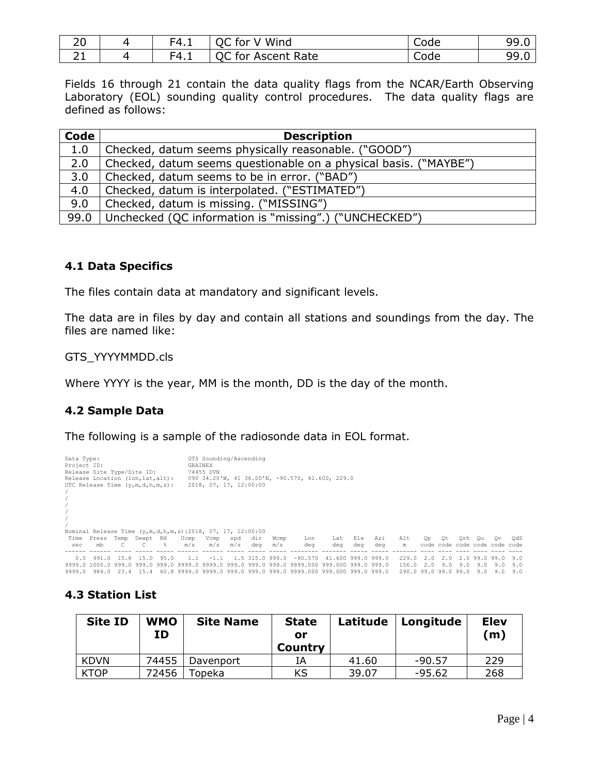| $\sim$ $\sim$<br>∠∪ | $-4.1$ | Wind<br>for                                           | Code | 99.0       |
|---------------------|--------|-------------------------------------------------------|------|------------|
| - -<br>- -          | $-4.1$ | $\sim$ $\sim$ $\sim$<br>Rate<br>for<br>Ascent<br>マンへん | nde  | ۵۵<br>フフ・U |

Fields 16 through 21 contain the data quality flags from the NCAR/Earth Observing Laboratory (EOL) sounding quality control procedures. The data quality flags are defined as follows:

| Code | <b>Description</b>                                               |
|------|------------------------------------------------------------------|
| 1.0  | Checked, datum seems physically reasonable. ("GOOD")             |
| 2.0  | Checked, datum seems questionable on a physical basis. ("MAYBE") |
| 3.0  | Checked, datum seems to be in error. ("BAD")                     |
| 4.0  | Checked, datum is interpolated. ("ESTIMATED")                    |
| 9.0  | Checked, datum is missing. ("MISSING")                           |
| 99.0 | Unchecked (QC information is "missing".) ("UNCHECKED")           |

#### **4.1 Data Specifics**

The files contain data at mandatory and significant levels.

The data are in files by day and contain all stations and soundings from the day. The files are named like:

GTS\_YYYYMMDD.cls

Where YYYY is the year, MM is the month, DD is the day of the month.

# **4.2 Sample Data**

The following is a sample of the radiosonde data in EOL format.

| Data Type:<br>Project ID: | Release Site Type/Site ID:<br>Release Location (lon, lat, alt):<br>UTC Release Time $(y,m,d,h,m,s)$ : |            |           |           |                                                             | GTS Sounding/Ascending<br>GRAINEX<br>74455 DVN<br>2018, 07, 17, 12:00:00 |     |                 |      | 090 34.20'W, 41 36.00'N, -90.570, 41.600, 229.0                   |                    |     |     |                      |           |     |     |      |                               |     |
|---------------------------|-------------------------------------------------------------------------------------------------------|------------|-----------|-----------|-------------------------------------------------------------|--------------------------------------------------------------------------|-----|-----------------|------|-------------------------------------------------------------------|--------------------|-----|-----|----------------------|-----------|-----|-----|------|-------------------------------|-----|
|                           |                                                                                                       |            |           |           |                                                             |                                                                          |     |                 |      |                                                                   |                    |     |     |                      |           |     |     |      |                               |     |
|                           |                                                                                                       |            |           |           | Nominal Release Time $(y,m,d,h,m,s):2018, 07, 17, 12:00:00$ |                                                                          |     |                 |      |                                                                   |                    |     |     |                      |           |     |     |      |                               |     |
|                           | Time Press                                                                                            | Temp       | Dewpt RH  |           | Ucmp                                                        | Vcmp                                                                     | spd | dir             | Wcmp | Lon                                                               | Lat                | Ele | Azi | Alt                  | <b>Op</b> | 0t  | Orh | 0u   | Ov                            | OdZ |
| sec                       | mb                                                                                                    |            |           | $\approx$ | m/s                                                         | m/s                                                                      | m/s | deg             | m/s  | deg                                                               | dea                | deg | deg | m                    |           |     |     |      | code code code code code code |     |
|                           |                                                                                                       |            |           |           |                                                             |                                                                          |     |                 |      |                                                                   |                    |     |     |                      |           |     |     |      |                               |     |
| 0.0                       |                                                                                                       | 991.0 15.8 | 15.0      | 95.0      | 1 1                                                         | $-1.1$                                                                   |     | 1.5 315.0 999.0 |      | $-90.570$                                                         | 41.600 999.0 999.0 |     |     | 229.0                | 2.0       | 2.0 | 2.0 | 99 N | 99 N                          | 9.0 |
|                           | 9999.0 1000.0 999.0                                                                                   |            | 999 N     | 999 N     | 9999 N                                                      |                                                                          |     |                 |      | 9999.0 999.0 999.0 999.0 9999.000 999.000 999.0 999.0             |                    |     |     | 156.0                |           |     | 9 N | 9 N  | 9 N                           | 9.0 |
| 9999.0                    | 984.0                                                                                                 |            | 23.4 15.4 |           |                                                             |                                                                          |     |                 |      | 60.8 9999.0 9999.0 999.0 999.0 999.0 9999.000 999.000 999.0 999.0 |                    |     |     | 290.0 99.0 99.0 99.0 |           |     |     | 9.0  | 9.0                           | 9.0 |

# **4.3 Station List**

| <b>Site ID</b> | <b>WMO</b><br>ΙD | <b>Site Name</b> | <b>State</b><br>or<br><b>Country</b> | Latitude | Longitude | <b>Elev</b><br>(m) |
|----------------|------------------|------------------|--------------------------------------|----------|-----------|--------------------|
| <b>KDVN</b>    | 74455            | Davenport        | IΑ                                   | 41.60    | $-90.57$  | 229                |
| <b>KTOP</b>    | 72456            | Fopeka.          | KS                                   | 39.07    | $-95.62$  | 268                |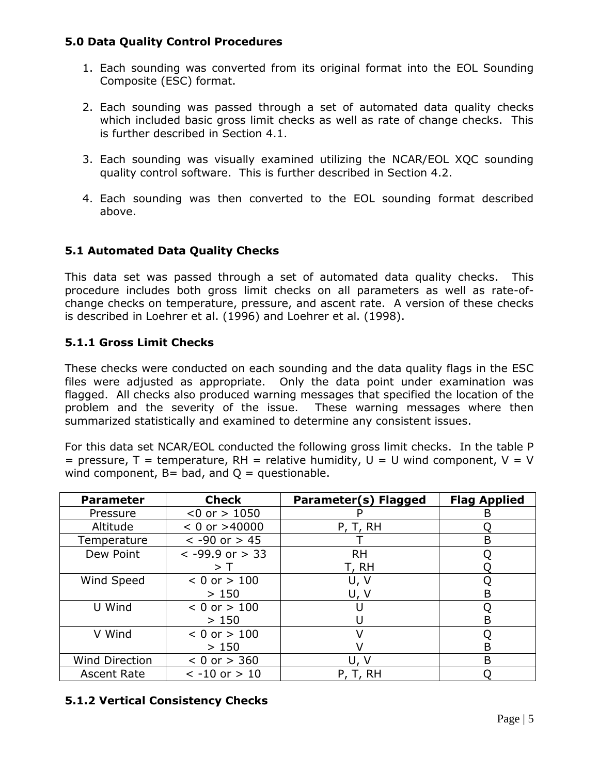# **5.0 Data Quality Control Procedures**

- 1. Each sounding was converted from its original format into the EOL Sounding Composite (ESC) format.
- 2. Each sounding was passed through a set of automated data quality checks which included basic gross limit checks as well as rate of change checks. This is further described in Section 4.1.
- 3. Each sounding was visually examined utilizing the NCAR/EOL XQC sounding quality control software. This is further described in Section 4.2.
- 4. Each sounding was then converted to the EOL sounding format described above.

# **5.1 Automated Data Quality Checks**

This data set was passed through a set of automated data quality checks. This procedure includes both gross limit checks on all parameters as well as rate-ofchange checks on temperature, pressure, and ascent rate. A version of these checks is described in Loehrer et al. (1996) and Loehrer et al. (1998).

# **5.1.1 Gross Limit Checks**

These checks were conducted on each sounding and the data quality flags in the ESC files were adjusted as appropriate. Only the data point under examination was flagged. All checks also produced warning messages that specified the location of the problem and the severity of the issue. These warning messages where then summarized statistically and examined to determine any consistent issues.

For this data set NCAR/EOL conducted the following gross limit checks. In the table P = pressure,  $T =$  temperature, RH = relative humidity,  $U = U$  wind component,  $V = V$ wind component,  $B = bad$ , and  $Q = questionable$ .

| <b>Parameter</b>      | <b>Check</b>        | Parameter(s) Flagged | <b>Flag Applied</b> |
|-----------------------|---------------------|----------------------|---------------------|
| Pressure              | $< 0$ or $> 1050$   |                      | в                   |
| Altitude              | $< 0$ or $>40000$   | P, T, RH             |                     |
| Temperature           | $< -90$ or $> 45$   |                      | B                   |
| Dew Point             | $< -99.9$ or $> 33$ | <b>RH</b>            |                     |
|                       | > I                 | T, RH                |                     |
| Wind Speed            | $< 0$ or $> 100$    | U, V                 |                     |
|                       | >150                | U, V                 | B                   |
| U Wind                | $< 0$ or $> 100$    |                      |                     |
|                       | >150                |                      | в                   |
| V Wind                | $< 0$ or $> 100$    |                      |                     |
|                       | >150                |                      | В                   |
| <b>Wind Direction</b> | $< 0$ or $> 360$    | U, V                 | B                   |
| <b>Ascent Rate</b>    | $< -10$ or $> 10$   | P, T, RH             |                     |

# **5.1.2 Vertical Consistency Checks**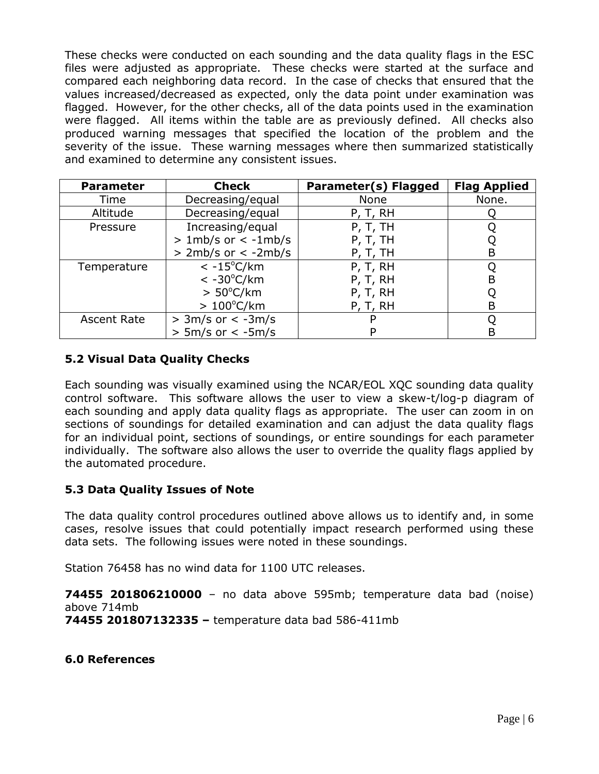These checks were conducted on each sounding and the data quality flags in the ESC files were adjusted as appropriate. These checks were started at the surface and compared each neighboring data record. In the case of checks that ensured that the values increased/decreased as expected, only the data point under examination was flagged. However, for the other checks, all of the data points used in the examination were flagged. All items within the table are as previously defined. All checks also produced warning messages that specified the location of the problem and the severity of the issue. These warning messages where then summarized statistically and examined to determine any consistent issues.

| <b>Parameter</b>   | <b>Check</b>            | Parameter(s) Flagged | <b>Flag Applied</b> |
|--------------------|-------------------------|----------------------|---------------------|
| Time               | Decreasing/equal        | None                 | None.               |
| Altitude           | Decreasing/equal        | P, T, RH             |                     |
| Pressure           | Increasing/equal        | P, T, TH             |                     |
|                    | $> 1mb/s$ or $< -1mb/s$ | P, T, TH             |                     |
|                    | $>$ 2mb/s or $<$ -2mb/s | P, T, TH             | B                   |
| Temperature        | $< -15^{\circ}$ C/km    | P, T, RH             |                     |
|                    | $< -30^{\circ}$ C/km    | P, T, RH             | B                   |
|                    | $> 50^{\circ}$ C/km     | P, T, RH             |                     |
|                    | $>100^{\circ}$ C/km     | P, T, RH             | B                   |
| <b>Ascent Rate</b> | $> 3m/s$ or $< -3m/s$   |                      |                     |
|                    | $> 5m/s$ or $< -5m/s$   |                      | B                   |

# **5.2 Visual Data Quality Checks**

Each sounding was visually examined using the NCAR/EOL XQC sounding data quality control software. This software allows the user to view a skew-t/log-p diagram of each sounding and apply data quality flags as appropriate. The user can zoom in on sections of soundings for detailed examination and can adjust the data quality flags for an individual point, sections of soundings, or entire soundings for each parameter individually. The software also allows the user to override the quality flags applied by the automated procedure.

# **5.3 Data Quality Issues of Note**

The data quality control procedures outlined above allows us to identify and, in some cases, resolve issues that could potentially impact research performed using these data sets. The following issues were noted in these soundings.

Station 76458 has no wind data for 1100 UTC releases.

**74455 201806210000** – no data above 595mb; temperature data bad (noise) above 714mb **74455 201807132335 –** temperature data bad 586-411mb

**6.0 References**